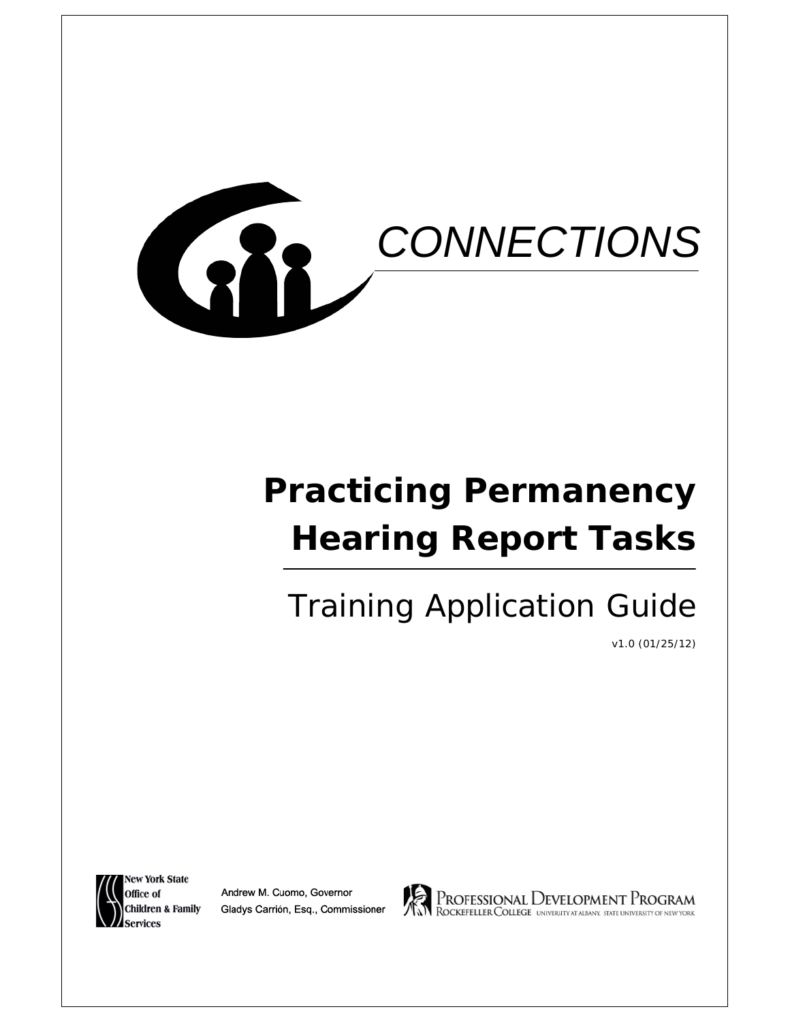

# **Practicing Permanency Hearing Report Tasks**

# Training Application Guide

v1.0 (01/25/12)

**New York State** Office of **Children & Family** 

Andrew M. Cuomo, Governor Gladys Carrión, Esq., Commissioner



PROFESSIONAL DEVELOPMENT PROGRAM<br>RockefellerCollege universityatalbany. state university of new york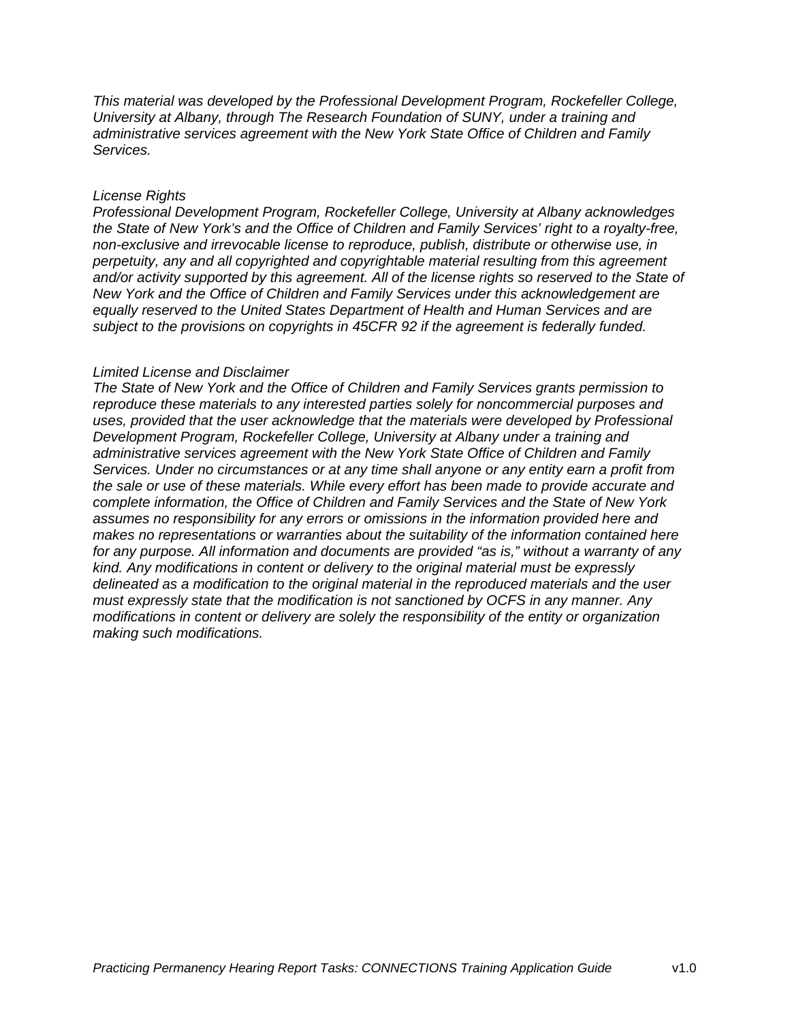*This material was developed by the Professional Development Program, Rockefeller College, University at Albany, through The Research Foundation of SUNY, under a training and administrative services agreement with the New York State Office of Children and Family Services.*

#### *License Rights*

*Professional Development Program, Rockefeller College, University at Albany acknowledges the State of New York's and the Office of Children and Family Services' right to a royalty-free, non-exclusive and irrevocable license to reproduce, publish, distribute or otherwise use, in perpetuity, any and all copyrighted and copyrightable material resulting from this agreement and/or activity supported by this agreement. All of the license rights so reserved to the State of New York and the Office of Children and Family Services under this acknowledgement are equally reserved to the United States Department of Health and Human Services and are subject to the provisions on copyrights in 45CFR 92 if the agreement is federally funded.*

#### *Limited License and Disclaimer*

*The State of New York and the Office of Children and Family Services grants permission to reproduce these materials to any interested parties solely for noncommercial purposes and uses, provided that the user acknowledge that the materials were developed by Professional Development Program, Rockefeller College, University at Albany under a training and administrative services agreement with the New York State Office of Children and Family Services. Under no circumstances or at any time shall anyone or any entity earn a profit from the sale or use of these materials. While every effort has been made to provide accurate and complete information, the Office of Children and Family Services and the State of New York assumes no responsibility for any errors or omissions in the information provided here and makes no representations or warranties about the suitability of the information contained here for any purpose. All information and documents are provided "as is," without a warranty of any kind. Any modifications in content or delivery to the original material must be expressly delineated as a modification to the original material in the reproduced materials and the user must expressly state that the modification is not sanctioned by OCFS in any manner. Any modifications in content or delivery are solely the responsibility of the entity or organization making such modifications.*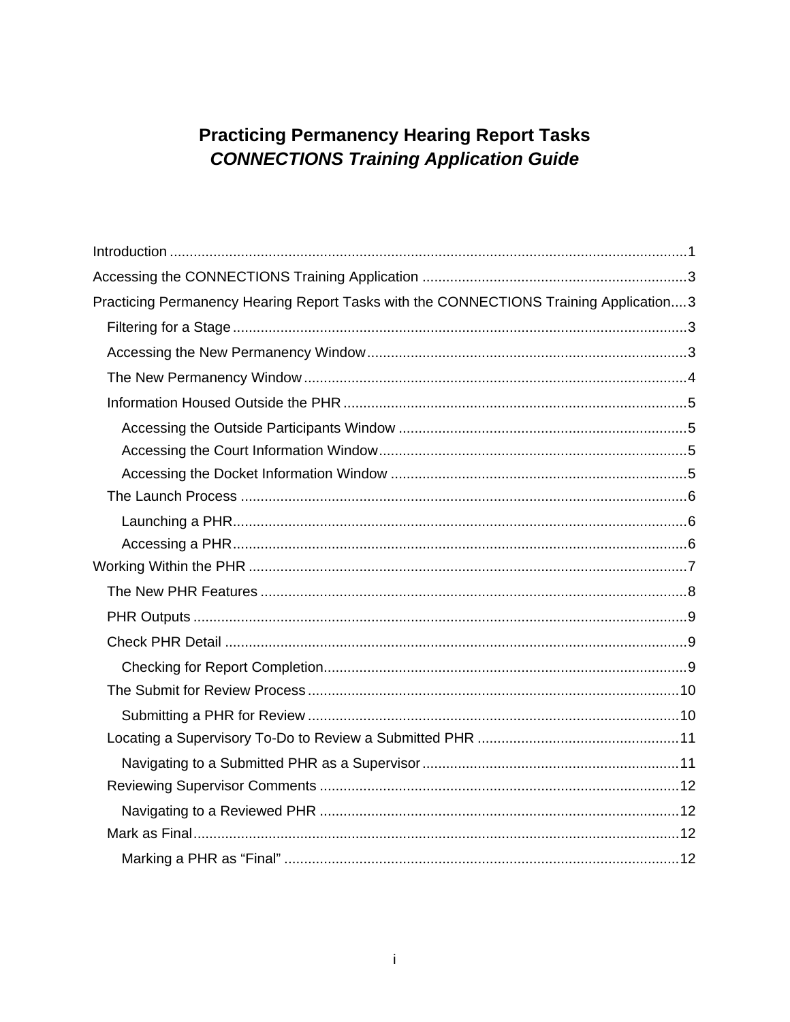# **Practicing Permanency Hearing Report Tasks CONNECTIONS Training Application Guide**

| Practicing Permanency Hearing Report Tasks with the CONNECTIONS Training Application3 |  |
|---------------------------------------------------------------------------------------|--|
|                                                                                       |  |
|                                                                                       |  |
|                                                                                       |  |
|                                                                                       |  |
|                                                                                       |  |
|                                                                                       |  |
|                                                                                       |  |
|                                                                                       |  |
|                                                                                       |  |
|                                                                                       |  |
|                                                                                       |  |
|                                                                                       |  |
|                                                                                       |  |
|                                                                                       |  |
|                                                                                       |  |
|                                                                                       |  |
|                                                                                       |  |
|                                                                                       |  |
|                                                                                       |  |
|                                                                                       |  |
|                                                                                       |  |
|                                                                                       |  |
|                                                                                       |  |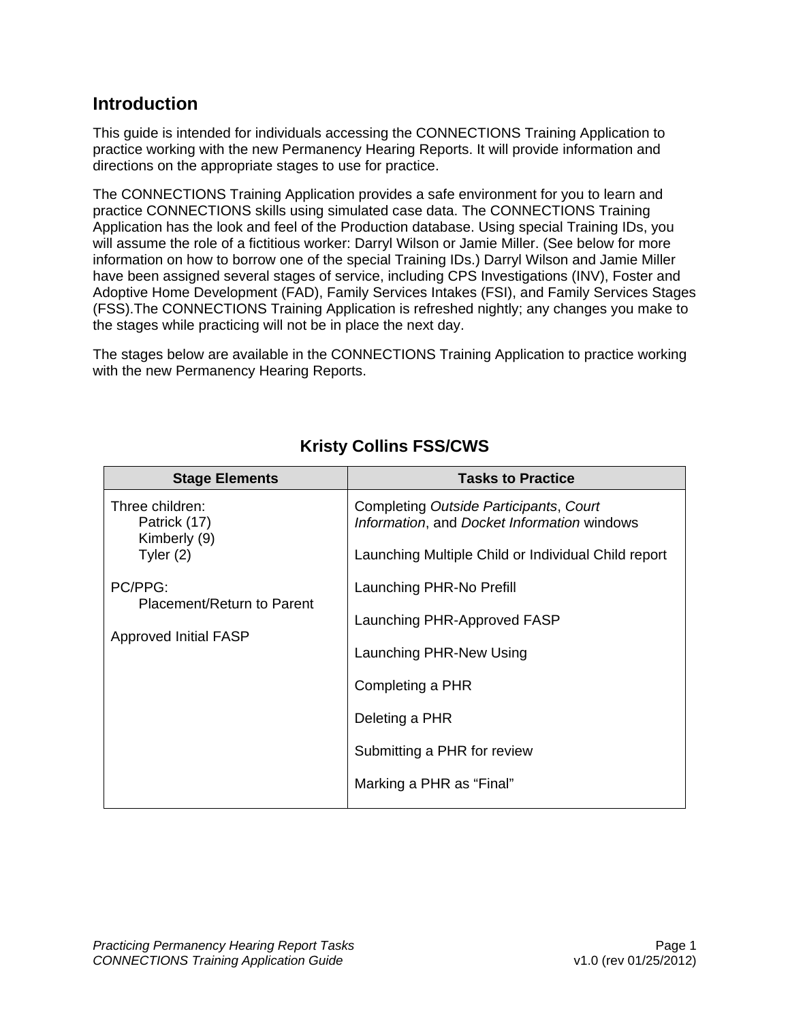# <span id="page-3-0"></span>**Introduction**

This guide is intended for individuals accessing the CONNECTIONS Training Application to practice working with the new Permanency Hearing Reports. It will provide information and directions on the appropriate stages to use for practice.

The CONNECTIONS Training Application provides a safe environment for you to learn and practice CONNECTIONS skills using simulated case data. The CONNECTIONS Training Application has the look and feel of the Production database. Using special Training IDs, you will assume the role of a fictitious worker: Darryl Wilson or Jamie Miller. (See below for more information on how to borrow one of the special Training IDs.) Darryl Wilson and Jamie Miller have been assigned several stages of service, including CPS Investigations (INV), Foster and Adoptive Home Development (FAD), Family Services Intakes (FSI), and Family Services Stages (FSS).The CONNECTIONS Training Application is refreshed nightly; any changes you make to the stages while practicing will not be in place the next day.

The stages below are available in the CONNECTIONS Training Application to practice working with the new Permanency Hearing Reports.

| <b>Stage Elements</b>                                                 | <b>Tasks to Practice</b>                                                                                                                                                            |
|-----------------------------------------------------------------------|-------------------------------------------------------------------------------------------------------------------------------------------------------------------------------------|
| Three children:<br>Patrick (17)<br>Kimberly (9)<br>Tyler $(2)$        | Completing Outside Participants, Court<br>Information, and Docket Information windows<br>Launching Multiple Child or Individual Child report                                        |
| PC/PPG:<br>Placement/Return to Parent<br><b>Approved Initial FASP</b> | Launching PHR-No Prefill<br>Launching PHR-Approved FASP<br>Launching PHR-New Using<br>Completing a PHR<br>Deleting a PHR<br>Submitting a PHR for review<br>Marking a PHR as "Final" |

# **Kristy Collins FSS/CWS**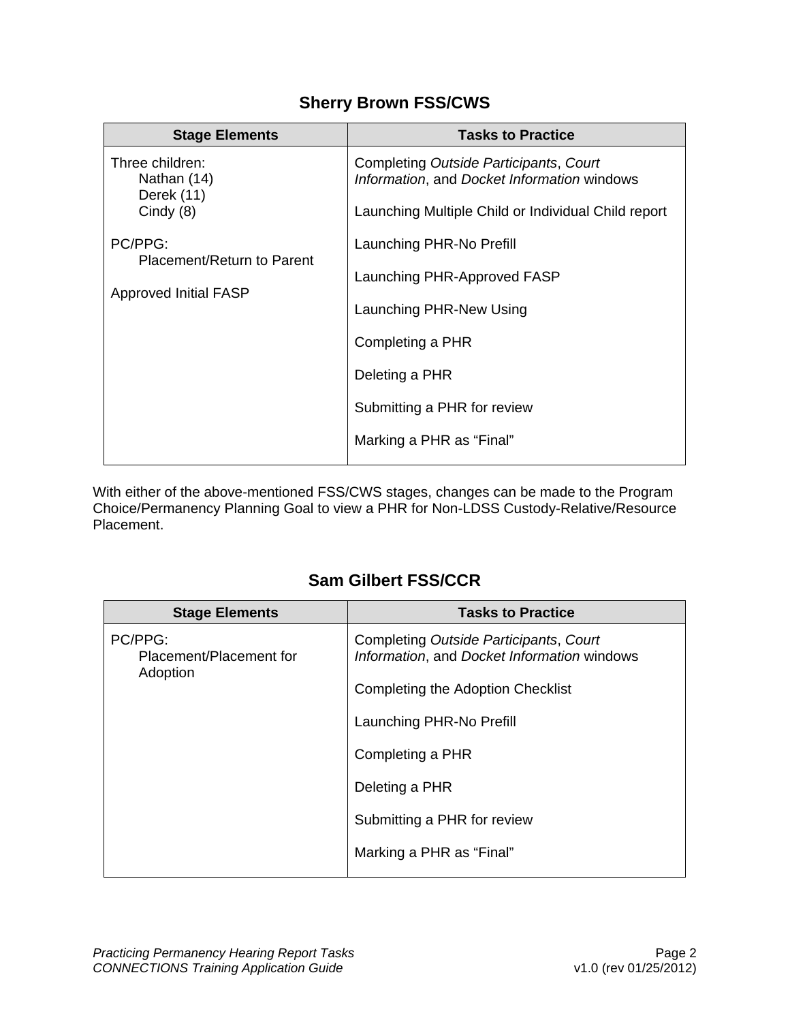# **Sherry Brown FSS/CWS**

| <b>Stage Elements</b>                                                                | <b>Tasks to Practice</b>                                                                                                                                                                                                                   |
|--------------------------------------------------------------------------------------|--------------------------------------------------------------------------------------------------------------------------------------------------------------------------------------------------------------------------------------------|
| Three children:<br>Nathan (14)<br>Derek (11)                                         | Completing Outside Participants, Court<br>Information, and Docket Information windows                                                                                                                                                      |
| Cindy $(8)$<br>PC/PPG:<br>Placement/Return to Parent<br><b>Approved Initial FASP</b> | Launching Multiple Child or Individual Child report<br>Launching PHR-No Prefill<br>Launching PHR-Approved FASP<br>Launching PHR-New Using<br>Completing a PHR<br>Deleting a PHR<br>Submitting a PHR for review<br>Marking a PHR as "Final" |

With either of the above-mentioned FSS/CWS stages, changes can be made to the Program Choice/Permanency Planning Goal to view a PHR for Non-LDSS Custody-Relative/Resource Placement.

# **Sam Gilbert FSS/CCR**

| <b>Stage Elements</b>                          | <b>Tasks to Practice</b>                                                              |
|------------------------------------------------|---------------------------------------------------------------------------------------|
| PC/PPG:<br>Placement/Placement for<br>Adoption | Completing Outside Participants, Court<br>Information, and Docket Information windows |
|                                                | <b>Completing the Adoption Checklist</b>                                              |
|                                                | Launching PHR-No Prefill                                                              |
|                                                | Completing a PHR                                                                      |
|                                                | Deleting a PHR                                                                        |
|                                                | Submitting a PHR for review                                                           |
|                                                | Marking a PHR as "Final"                                                              |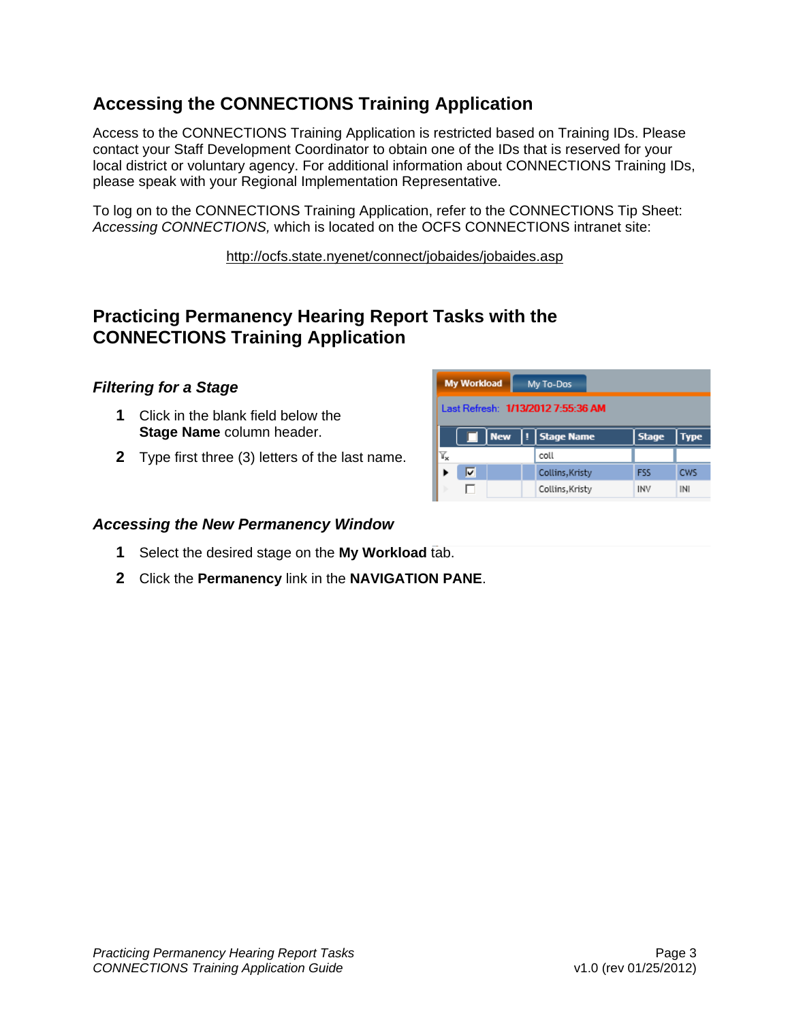# <span id="page-5-0"></span>**Accessing the CONNECTIONS Training Application**

Access to the CONNECTIONS Training Application is restricted based on Training IDs. Please contact your Staff Development Coordinator to obtain one of the IDs that is reserved for your local district or voluntary agency. For additional information about CONNECTIONS Training IDs, please speak with your Regional Implementation Representative.

To log on to the CONNECTIONS Training Application, refer to the CONNECTIONS Tip Sheet: *Accessing CONNECTIONS,* which is located on the OCFS CONNECTIONS intranet site:

<http://ocfs.state.nyenet/connect/jobaides/jobaides.asp>

# **Practicing Permanency Hearing Report Tasks with the CONNECTIONS Training Application**

# *Filtering for a Stage*

- **1** Click in the blank field below the **Stage Name** column header.
- **2** Type first three (3) letters of the last name.

| <b>My Workload</b>                 |  |                 | My To-Dos       |                                           |            |            |  |  |  |  |  |
|------------------------------------|--|-----------------|-----------------|-------------------------------------------|------------|------------|--|--|--|--|--|
| Last Refresh: 1/13/2012 7:55:36 AM |  |                 |                 |                                           |            |            |  |  |  |  |  |
|                                    |  | <b>New</b><br>u |                 | <b>Stage Name</b><br><b>Stage</b><br>Type |            |            |  |  |  |  |  |
| ĭ.                                 |  |                 | coll            |                                           |            |            |  |  |  |  |  |
| v                                  |  |                 | Collins, Kristy |                                           | <b>FSS</b> | <b>CWS</b> |  |  |  |  |  |
|                                    |  |                 | Collins, Kristy |                                           | <b>INV</b> | INI        |  |  |  |  |  |

# *Accessing the New Permanency Window*

- **1** Select the desired stage on the **My Workload** tab.
- **2** Click the **Permanency** link in the **NAVIGATION PANE**.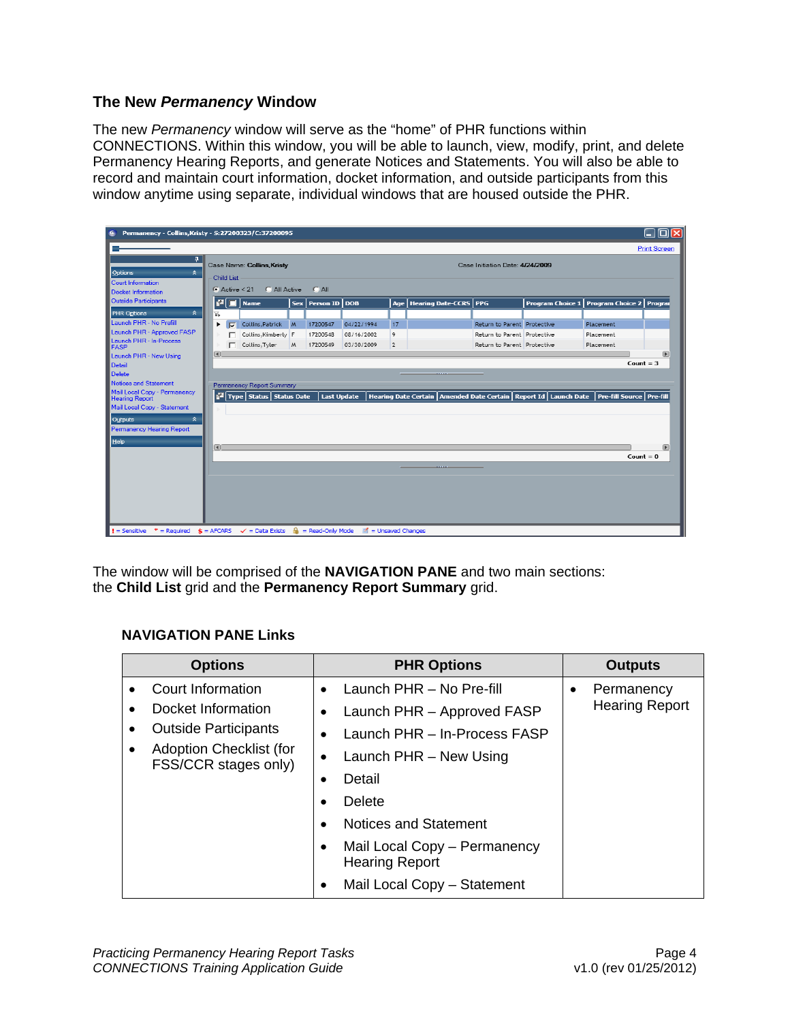#### <span id="page-6-0"></span>**The New** *Permanency* **Window**

The new *Permanency* window will serve as the "home" of PHR functions within CONNECTIONS. Within this window, you will be able to launch, view, modify, print, and delete Permanency Hearing Reports, and generate Notices and Statements. You will also be able to record and maintain court information, docket information, and outside participants from this window anytime using separate, individual windows that are housed outside the PHR.

| Permanency - Collins, Kristy - S:27200323/C:37200095<br>⋐                          |                         |                                |   |                       |                                                                                            |                |                                                                                                                       |                                 |                                               |                     |
|------------------------------------------------------------------------------------|-------------------------|--------------------------------|---|-----------------------|--------------------------------------------------------------------------------------------|----------------|-----------------------------------------------------------------------------------------------------------------------|---------------------------------|-----------------------------------------------|---------------------|
|                                                                                    |                         |                                |   |                       |                                                                                            |                |                                                                                                                       |                                 |                                               | <b>Print Screen</b> |
| п.                                                                                 |                         | Case Name: Collins, Kristy     |   |                       |                                                                                            |                |                                                                                                                       | Case Initiation Date: 4/24/2009 |                                               |                     |
| Options<br>소<br>Court Information                                                  | Child List              |                                |   |                       |                                                                                            |                |                                                                                                                       |                                 |                                               |                     |
| Docket Information                                                                 | $\bullet$ Active $<$ 21 | C All Active                   |   | $C$ All               |                                                                                            |                |                                                                                                                       |                                 |                                               |                     |
| <b>Outside Participants</b>                                                        | e                       | <b>Name</b>                    |   | Sex   Person ID   DOB |                                                                                            |                | Age   Hearing Date-CCRS   PPG                                                                                         |                                 | Program Choice 1   Program Choice 2   Program |                     |
| $\hat{\mathbf{x}}$<br>PHR Options                                                  | 爫                       |                                |   |                       |                                                                                            |                |                                                                                                                       |                                 |                                               |                     |
| Launch PHR - No Prefill                                                            | ٠<br>∣⊽                 | Collins, Patrick M             |   | 17200547              | 04/22/1994                                                                                 | 17             |                                                                                                                       | Return to Parent Protective     | Placement                                     |                     |
| Launch PHR - Approved FASP                                                         |                         | Collins, Kimberly F            |   | 17200548              | 08/16/2002                                                                                 | 9              |                                                                                                                       | Return to Parent Protective     | Placement                                     |                     |
| Launch PHR - In-Process<br><b>FASP</b>                                             |                         | Collins, Tyler                 | M | 17200549              | 03/30/2009                                                                                 | $\overline{2}$ |                                                                                                                       | Return to Parent Protective     | Placement                                     |                     |
| Launch PHR - New Using                                                             | $\blacksquare$          |                                |   |                       |                                                                                            |                |                                                                                                                       |                                 |                                               | $\mathbb F$         |
| Detail                                                                             |                         |                                |   |                       |                                                                                            |                |                                                                                                                       |                                 |                                               | Count $=$ 3         |
| Delete<br>Notices and Statement                                                    |                         |                                |   |                       |                                                                                            |                | -------                                                                                                               |                                 |                                               |                     |
| Mail Local Copy - Permanency                                                       |                         | Permanency Report Summary      |   |                       |                                                                                            |                |                                                                                                                       |                                 |                                               |                     |
| <b>Hearing Report</b>                                                              |                         | FI Type   Status   Status Date |   | <b>Last Update</b>    |                                                                                            |                | Hearing Date Certain   Amended Date Certain   Report Id   Launch Date                                                 |                                 | Pre-fill Source   Pre-fill                    |                     |
| Mail Local Copy - Statement                                                        |                         |                                |   |                       |                                                                                            |                |                                                                                                                       |                                 |                                               |                     |
| ⋩<br>Outputs                                                                       |                         |                                |   |                       |                                                                                            |                |                                                                                                                       |                                 |                                               |                     |
| Permanency Hearing Report                                                          |                         |                                |   |                       |                                                                                            |                |                                                                                                                       |                                 |                                               |                     |
| <b>Help</b>                                                                        | $\vert \vert$           |                                |   |                       |                                                                                            |                |                                                                                                                       |                                 |                                               | $\sqrt{2}$          |
|                                                                                    |                         |                                |   |                       |                                                                                            |                |                                                                                                                       |                                 |                                               | Count = $0$         |
|                                                                                    |                         |                                |   |                       |                                                                                            |                | <u> La Barriera de la Barriera de la Barriera de la Barriera de la Barriera de la Barriera de la Barriera de la B</u> |                                 |                                               |                     |
|                                                                                    |                         |                                |   |                       |                                                                                            |                |                                                                                                                       |                                 |                                               |                     |
|                                                                                    |                         |                                |   |                       |                                                                                            |                |                                                                                                                       |                                 |                                               |                     |
|                                                                                    |                         |                                |   |                       |                                                                                            |                |                                                                                                                       |                                 |                                               |                     |
|                                                                                    |                         |                                |   |                       |                                                                                            |                |                                                                                                                       |                                 |                                               |                     |
| $\bullet$ = Sensitive $*$ = Required $\bullet$ = AFCARS $\checkmark$ = Data Exists |                         |                                |   |                       | $\frac{\Omega}{\Omega}$ = Read-Only Mode $\frac{\partial f}{\partial x}$ = Unsaved Changes |                |                                                                                                                       |                                 |                                               |                     |

The window will be comprised of the **NAVIGATION PANE** and two main sections: the **Child List** grid and the **Permanency Report Summary** grid.

#### **NAVIGATION PANE Links**

| <b>Options</b>                                         | <b>PHR Options</b>                                    | <b>Outputs</b>          |
|--------------------------------------------------------|-------------------------------------------------------|-------------------------|
| Court Information                                      | Launch PHR - No Pre-fill                              | Permanency<br>$\bullet$ |
| Docket Information                                     | Launch PHR - Approved FASP                            | <b>Hearing Report</b>   |
| <b>Outside Participants</b>                            | Launch PHR - In-Process FASP                          |                         |
| <b>Adoption Checklist (for</b><br>FSS/CCR stages only) | Launch PHR - New Using<br>٠                           |                         |
|                                                        | Detail<br>٠                                           |                         |
|                                                        | Delete                                                |                         |
|                                                        | <b>Notices and Statement</b>                          |                         |
|                                                        | Mail Local Copy - Permanency<br><b>Hearing Report</b> |                         |
|                                                        | Mail Local Copy - Statement<br>٠                      |                         |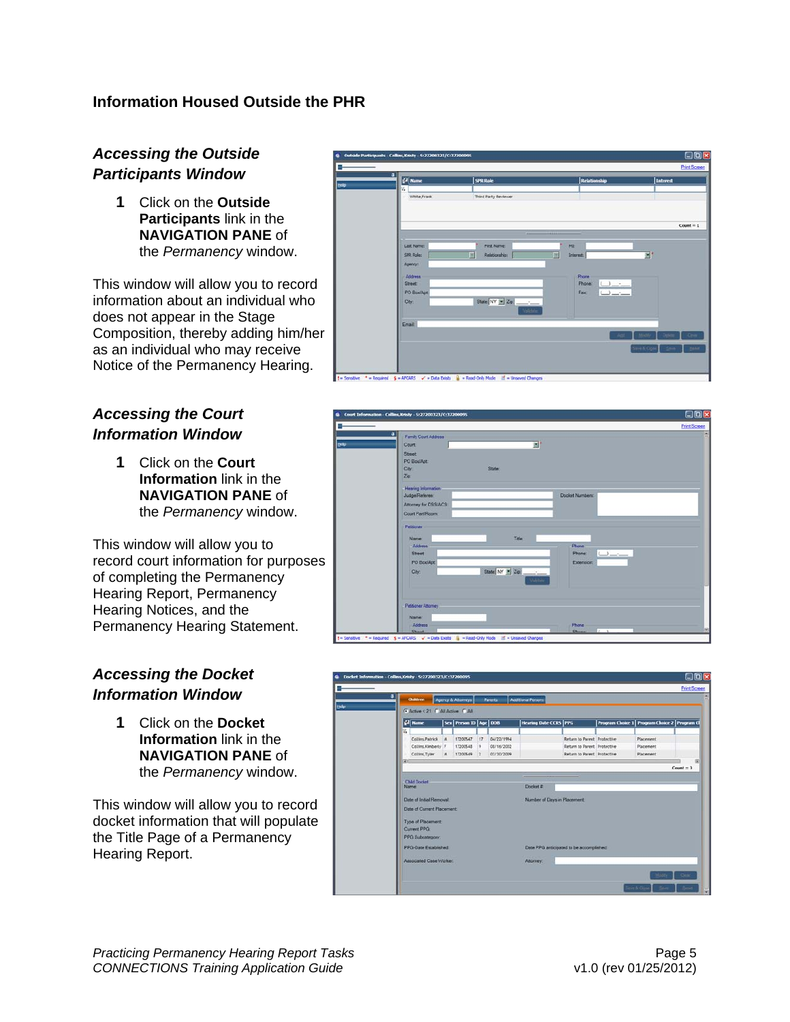## <span id="page-7-0"></span>**Information Housed Outside the PHR**

# *Accessing the Outside Participants Window*

**1** Click on the **Outside Participants** link in the **NAVIGATION PANE** of the *Permanency* window.

This window will allow you to record information about an individual who does not appear in the Stage Composition, thereby adding him/her as an individual who may receive Notice of the Permanency Hearing.

## *Accessing the Court Information Window*

**1** Click on the **Court Information** link in the **NAVIGATION PANE** of the *Permanency* window.

This window will allow you to record court information for purposes of completing the Permanency Hearing Report, Permanency Hearing Notices, and the Permanency Hearing Statement.

# *Accessing the Docket Information Window*

**1** Click on the **Docket Information** link in the **NAVIGATION PANE** of the *Permanency* window.

This window will allow you to record docket information that will populate the Title Page of a Permanency Hearing Report.



|       | a<br>Family Court Address         |  |
|-------|-----------------------------------|--|
| theip | 파<br>Court                        |  |
|       | Street                            |  |
|       | PO Box/Apt                        |  |
|       | City<br>State                     |  |
|       | $Z_{\text{eff}}$                  |  |
|       | <b>Hearing Information</b>        |  |
|       | Judge/Referee:<br>Docket Numbers: |  |
|       | Attorney for DSS/ACS:             |  |
|       | Court Part/Room                   |  |
|       |                                   |  |
|       | Petticner                         |  |
|       | Title<br>Name                     |  |
|       | Address<br><b>Phone</b>           |  |
|       | Phone:<br><b>Street:</b>          |  |
|       | PO Box/Apt<br><b>Extension:</b>   |  |
|       |                                   |  |
|       | State $NY = Z\phi$<br>City:       |  |
|       | Value                             |  |
|       |                                   |  |
|       |                                   |  |
|       |                                   |  |
|       | Petisoner Attorney                |  |
|       |                                   |  |
|       | Name:<br>Address<br>Phone         |  |

| <b>Children</b>                  |          | Agency & Attorneys        |               | Parents    | <b>Additional Persons</b>              |                             |                                                  |             |
|----------------------------------|----------|---------------------------|---------------|------------|----------------------------------------|-----------------------------|--------------------------------------------------|-------------|
| G Active < 21 G All Active G All |          |                           |               |            |                                        |                             |                                                  |             |
| $2$ Name                         |          | Sex Person ID   Age   DOB |               |            | <b>Hearing Date CCRS</b> PPG           |                             | Program Choice 1   Program Choice 2   Program Cl |             |
| v.                               |          |                           |               |            |                                        |                             |                                                  |             |
| Collins, Patrick M               |          | 17200547                  | 17            | 04/22/1994 |                                        | Return to Parent Protective | Placement                                        |             |
| Collins, Kimberty F              |          | 17200548                  | $\frac{1}{2}$ | 08/16/2002 |                                        | Return to Parent Protective | Placement                                        |             |
| Collins, Tyler                   | <b>M</b> | 17200549                  | $\sqrt{2}$    | 03/30/2009 |                                        | Return to Parent Protective | Placement                                        |             |
| а                                |          |                           |               |            |                                        |                             |                                                  | $Count = 3$ |
|                                  |          |                           |               |            | _____                                  |                             |                                                  |             |
| <b>Child Docket</b><br>Name:     |          |                           |               |            | Docket #                               |                             |                                                  |             |
| <b>Date of Initial Removal</b>   |          |                           |               |            | Number of Days in Placement            |                             |                                                  |             |
| <b>Date of Current Placement</b> |          |                           |               |            |                                        |                             |                                                  |             |
|                                  |          |                           |               |            |                                        |                             |                                                  |             |
|                                  |          |                           |               |            |                                        |                             |                                                  |             |
| Type of Placement:               |          |                           |               |            |                                        |                             |                                                  |             |
| Current PPG                      |          |                           |               |            |                                        |                             |                                                  |             |
| PPG Subcategory:                 |          |                           |               |            |                                        |                             |                                                  |             |
| PPG-Date Established             |          |                           |               |            | Date PPG antiopated to be accomplished |                             |                                                  |             |
| Associated Case Worker:          |          |                           |               |            | Attorney:                              |                             |                                                  |             |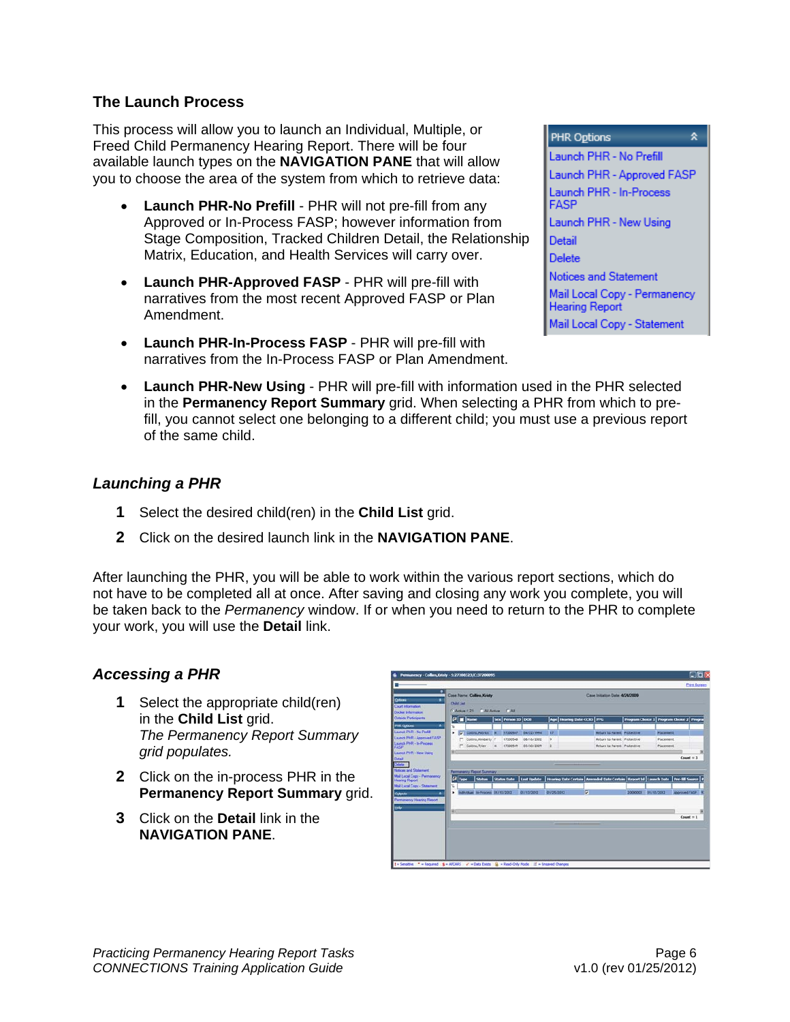#### <span id="page-8-0"></span>**The Launch Process**

This process will allow you to launch an Individual, Multiple, or Freed Child Permanency Hearing Report. There will be four available launch types on the **NAVIGATION PANE** that will allow you to choose the area of the system from which to retrieve data:

- **Launch PHR-No Prefill** PHR will not pre-fill from any Approved or In-Process FASP; however information from Stage Composition, Tracked Children Detail, the Relationship Matrix, Education, and Health Services will carry over.
- **Launch PHR-Approved FASP** PHR will pre-fill with narratives from the most recent Approved FASP or Plan Amendment.
- **Launch PHR-In-Process FASP** PHR will pre-fill with narratives from the In-Process FASP or Plan Amendment.
- **Launch PHR-New Using** PHR will pre-fill with information used in the PHR selected in the **Permanency Report Summary** grid. When selecting a PHR from which to prefill, you cannot select one belonging to a different child; you must use a previous report of the same child.

#### *Launching a PHR*

- **1** Select the desired child(ren) in the **Child List** grid.
- **2** Click on the desired launch link in the **NAVIGATION PANE**.

After launching the PHR, you will be able to work within the various report sections, which do not have to be completed all at once. After saving and closing any work you complete, you will be taken back to the *Permanency* window. If or when you need to return to the PHR to complete your work, you will use the **Detail** link.

#### *Accessing a PHR*

- **1** Select the appropriate child(ren) in the **Child List** grid. *The Permanency Report Summary grid populates.*
- **2** Click on the in-process PHR in the **Permanency Report Summary** grid.
- **3** Click on the **Detail** link in the **NAVIGATION PANE**.

| Outlong<br>٠<br>Court Information<br><b>Docket Information</b> | <b>Case Name: Collins Kristy</b><br>Case Initiation Date: 4/24/2009<br><b>Child List</b><br>C All Active<br>$-$ Active $<$ 21<br>$\sqrt{AB}$ |                                  |                |                    |             |                 |                                                                                                           |                                    |                                               |           |                 |  |
|----------------------------------------------------------------|----------------------------------------------------------------------------------------------------------------------------------------------|----------------------------------|----------------|--------------------|-------------|-----------------|-----------------------------------------------------------------------------------------------------------|------------------------------------|-----------------------------------------------|-----------|-----------------|--|
| <b>Outside Participants</b>                                    |                                                                                                                                              | (2) Name                         |                | Sex Person ID 008  |             |                 | Age   Hearing Date CCRS   PPG                                                                             |                                    | Program Choice 1   Program Choice 2   Program |           |                 |  |
| ×<br><b>PHR October</b>                                        | w                                                                                                                                            |                                  |                |                    |             |                 |                                                                                                           |                                    |                                               |           |                 |  |
| Laureck PHR - No Prefil<br>Launch PHR - Approved FASP          | ٠                                                                                                                                            | C Collins Patrick in             |                | 17200547           | D4/22/1994  | $\overline{17}$ |                                                                                                           | Return to Parent, Protective       |                                               | Placement |                 |  |
| Launch PHR - In-Process                                        |                                                                                                                                              | Collins Kimberty F               |                | 17200548           | 08/16/2002  | ٠               |                                                                                                           | <b>Return to Parent Protective</b> |                                               | Placement |                 |  |
|                                                                | ×                                                                                                                                            | Collins, Tyker                   | $\overline{a}$ | 17200549           | 03/30/2009  | $\overline{z}$  |                                                                                                           | <b>Return to Parent Protective</b> |                                               | Piacement |                 |  |
| <b>Launch PHR - New Using</b>                                  |                                                                                                                                              |                                  |                |                    |             |                 |                                                                                                           |                                    |                                               |           | $Count = 3$     |  |
| Mail Local Copy - Permanency<br><b>Hearing Report</b>          | (2) Fype<br>v.                                                                                                                               | Skatura.                         |                | <b>Status Date</b> |             |                 | Last Update   Hearing Date Certain   Amended Date Certain   Report Id   Launch Date   Pre fill Source   P |                                    |                                               |           | Approved FASP K |  |
| <b>Mail Local Copy - Statement</b>                             |                                                                                                                                              |                                  |                |                    |             |                 |                                                                                                           |                                    |                                               |           |                 |  |
| Outputs<br><b>Permanency Hearing Report</b>                    | ٠                                                                                                                                            | Individual in-Process 01/11/2012 |                |                    | 201113/2012 | 01/25/2012      | F                                                                                                         |                                    | 20000003 01/13/2012                           |           |                 |  |
|                                                                |                                                                                                                                              |                                  |                |                    |             |                 |                                                                                                           |                                    |                                               |           |                 |  |
|                                                                | m                                                                                                                                            |                                  |                |                    |             |                 |                                                                                                           |                                    |                                               |           |                 |  |
|                                                                |                                                                                                                                              |                                  |                |                    |             |                 |                                                                                                           |                                    |                                               |           |                 |  |
|                                                                |                                                                                                                                              |                                  |                |                    |             |                 |                                                                                                           |                                    |                                               |           |                 |  |
|                                                                |                                                                                                                                              |                                  |                |                    |             |                 |                                                                                                           |                                    |                                               |           |                 |  |
|                                                                |                                                                                                                                              |                                  |                |                    |             |                 |                                                                                                           |                                    |                                               |           | $Count = 1$     |  |

**PHR Options** 交 Launch PHR - No Prefill Launch PHR - Approved FASP Launch PHR - In-Process **FASP** Launch PHR - New Using **Detail Delete Notices and Statement** Mail Local Copy - Permanency **Hearing Report** Mail Local Copy - Statement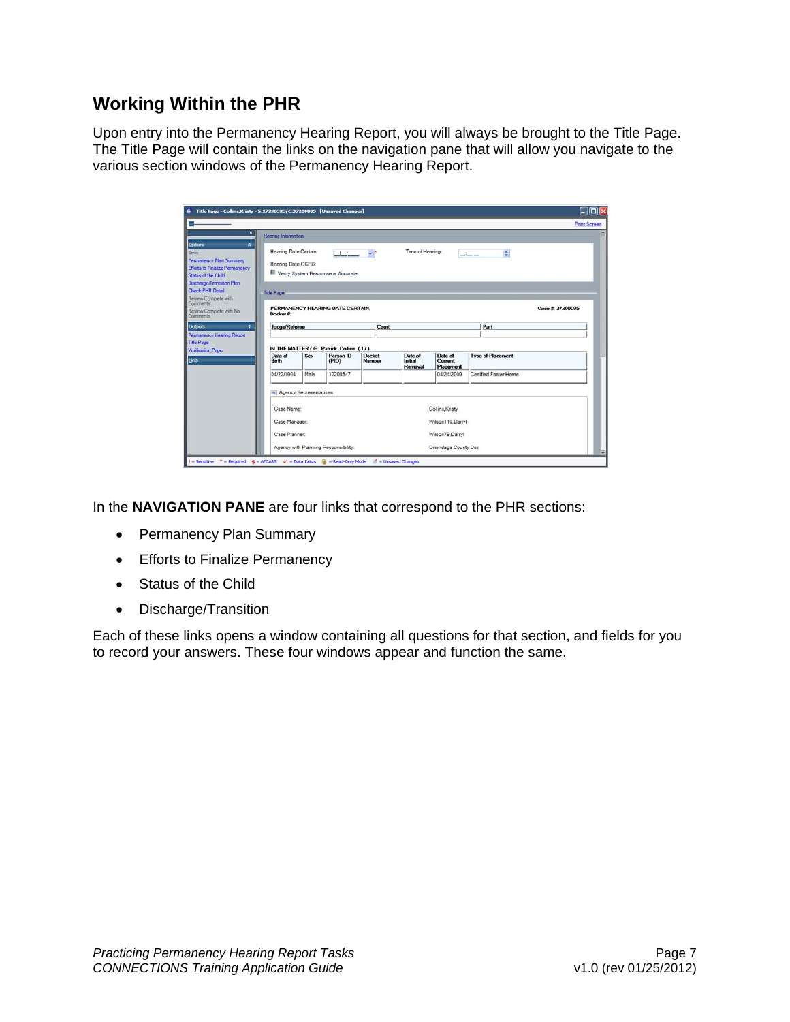# <span id="page-9-0"></span>**Working Within the PHR**

Upon entry into the Permanency Hearing Report, you will always be brought to the Title Page. The Title Page will contain the links on the navigation pane that will allow you navigate to the various section windows of the Permanency Hearing Report.

| ۰                                                                                                                        | <b>Hearing Information</b>                  |                        |                                                     |                         |                              |                                 |                          | <b>Print Screen</b> |  |  |  |
|--------------------------------------------------------------------------------------------------------------------------|---------------------------------------------|------------------------|-----------------------------------------------------|-------------------------|------------------------------|---------------------------------|--------------------------|---------------------|--|--|--|
| <b>Oxitions</b><br>$\star$<br>Permanency Plan Summary<br><b>Efforts to Finalize Permanency</b><br>Status of the Child    | Hearing Date Certain:<br>Hearing Date-CCRS: |                        | $\frac{1}{2}$<br>Verify System Response is Accurate |                         | Time of Hearing              |                                 | ĉ<br>$-1$ $-$            |                     |  |  |  |
| Discharge/Transition Plan<br>Check PHR Detail<br>Review Complete with<br>Comments<br>Review Complete with No<br>Commonts | <b>Tide Page</b><br>Docket #:               |                        | PERMANENCY HEARING DATE CERTAIN.                    |                         |                              |                                 |                          | Case # 37200095     |  |  |  |
| Outputs<br>羹                                                                                                             | <b>Judge/Referee</b>                        |                        |                                                     | Court                   |                              |                                 | Part                     |                     |  |  |  |
| Permanency Hearing Report<br><b>Title Page</b><br>Verification Page                                                      |                                             |                        | IN THE MATTER OF: Patrick Collins (17)              |                         |                              |                                 |                          |                     |  |  |  |
|                                                                                                                          | Date of<br>Bett <sub>1</sub>                | Sex                    | Person ID<br>(PID)                                  | <b>Docket</b><br>Number | Date of<br>Indial<br>Removal | Date of<br>Current<br>Placement | <b>Type of Placement</b> |                     |  |  |  |
|                                                                                                                          | 04/22/1994                                  | <b>Male</b>            | 17200547                                            |                         |                              | 04/24/2009                      | Certified Fonter Home    |                     |  |  |  |
|                                                                                                                          |                                             | Agency Representatives |                                                     |                         |                              |                                 |                          |                     |  |  |  |
|                                                                                                                          | Case Name:                                  |                        |                                                     |                         |                              | Collins, Kristy                 |                          |                     |  |  |  |
|                                                                                                                          | Case Manager.                               |                        |                                                     |                         |                              | Wilson110.Darryl                |                          |                     |  |  |  |
|                                                                                                                          | Case Planner:                               |                        |                                                     |                         |                              | Wilson79.Darryl                 |                          |                     |  |  |  |
|                                                                                                                          |                                             |                        | Agency with Planning Responsibility.                |                         |                              | <b>Onondaga County Dss</b>      |                          |                     |  |  |  |

In the **NAVIGATION PANE** are four links that correspond to the PHR sections:

- Permanency Plan Summary
- Efforts to Finalize Permanency
- Status of the Child
- Discharge/Transition

Each of these links opens a window containing all questions for that section, and fields for you to record your answers. These four windows appear and function the same.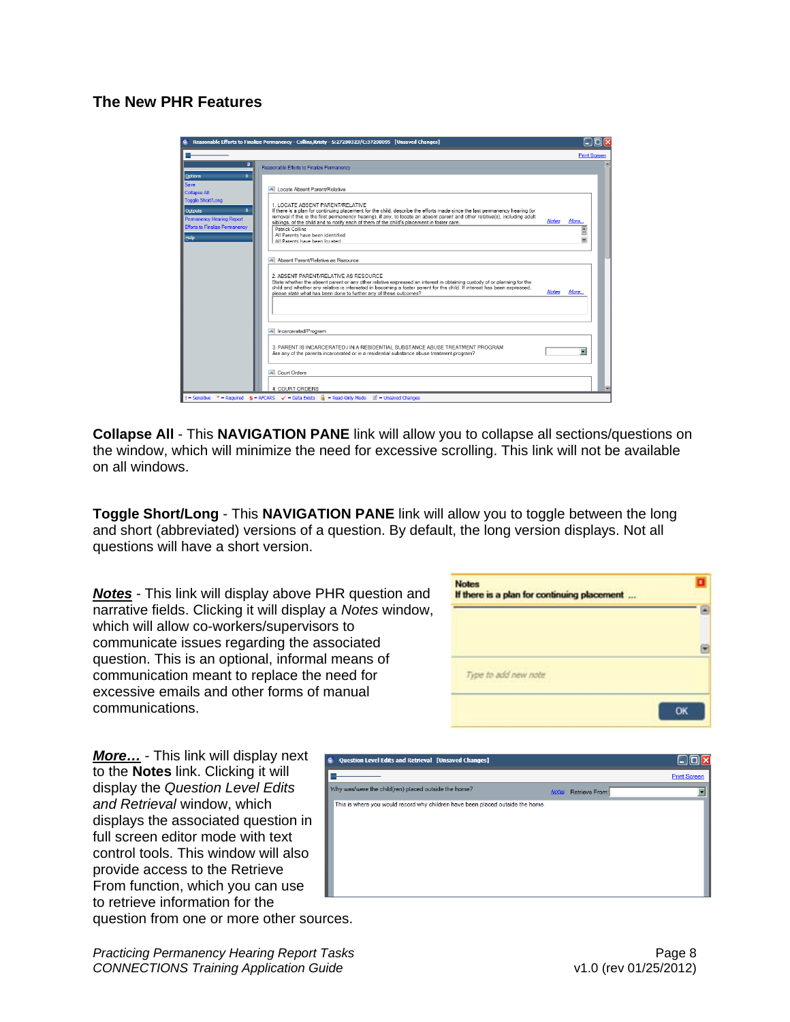## <span id="page-10-0"></span>**The New PHR Features**

|                                       | Reasonable Efforts to Finalize Permanency - Collins, Kristy - S:27200323/C:37200095 [Unsaved Changes]                                                            |              |      |                     |
|---------------------------------------|------------------------------------------------------------------------------------------------------------------------------------------------------------------|--------------|------|---------------------|
|                                       |                                                                                                                                                                  |              |      | <b>Print Screen</b> |
| ņ                                     | Reasonable Efforts to Finalize Permanency                                                                                                                        |              |      |                     |
| Options<br>$\hat{\mathbf{x}}$         |                                                                                                                                                                  |              |      |                     |
| Save                                  |                                                                                                                                                                  |              |      |                     |
| <b>Collapse All</b>                   | Locate Absent Parent/Relative                                                                                                                                    |              |      |                     |
| Toggle Short/Long                     |                                                                                                                                                                  |              |      |                     |
| $\hat{z}$<br><b>Outputs</b>           | 1. LOCATE ABSENT PARENT/RELATIVE<br>If there is a plan for continuing placement for the child, describe the efforts made since the last permanency hearing (or   |              |      |                     |
| Permanency Hearing Report             | removal if this is the first permanency hearing), if any, to locate an absent parent and other relative(s), including adult                                      |              |      |                     |
| <b>Efforts to Finalize Permanency</b> | siblings, of the child and to notify each of them of the child's placement in foster care.                                                                       | <b>Notes</b> | More |                     |
|                                       | Patrick Collins<br>All Parents have been identified                                                                                                              |              |      |                     |
| Help                                  | All Parents have been located                                                                                                                                    |              |      |                     |
|                                       |                                                                                                                                                                  |              |      |                     |
|                                       |                                                                                                                                                                  |              |      |                     |
|                                       | Absent Parent/Relative as Resource                                                                                                                               |              |      |                     |
|                                       |                                                                                                                                                                  |              |      |                     |
|                                       | 2 ARSENT PARENT/RELATIVE AS RESOURCE.<br>State whether the absent parent or any other relative expressed an interest in obtaining custody of or planning for the |              |      |                     |
|                                       | child and whether any relative is interested in becoming a foster parent for the child. If interest has been expressed,                                          |              |      |                     |
|                                       | please state what has been done to further any of these outcomes?                                                                                                | <b>Notes</b> | More |                     |
|                                       |                                                                                                                                                                  |              |      |                     |
|                                       |                                                                                                                                                                  |              |      |                     |
|                                       |                                                                                                                                                                  |              |      |                     |
|                                       | Incarcerated/Program                                                                                                                                             |              |      |                     |
|                                       |                                                                                                                                                                  |              |      |                     |
|                                       | 3 PARENT IS INCARCERATED / IN A RESIDENTIAL SUBSTANCE ABUSE TREATMENT PROGRAM                                                                                    |              |      |                     |
|                                       | Are any of the parents incarcerated or in a residential substance abuse treatment program?                                                                       |              |      |                     |
|                                       |                                                                                                                                                                  |              |      |                     |
|                                       |                                                                                                                                                                  |              |      |                     |
|                                       | Court Orders                                                                                                                                                     |              |      |                     |
|                                       |                                                                                                                                                                  |              |      |                     |
|                                       | 4. COURT ORDERS                                                                                                                                                  |              |      |                     |

**Collapse All** - This **NAVIGATION PANE** link will allow you to collapse all sections/questions on the window, which will minimize the need for excessive scrolling. This link will not be available on all windows.

**Toggle Short/Long** - This **NAVIGATION PANE** link will allow you to toggle between the long and short (abbreviated) versions of a question. By default, the long version displays. Not all questions will have a short version.

*Notes* - This link will display above PHR question and narrative fields. Clicking it will display a *Notes* window, which will allow co-workers/supervisors to communicate issues regarding the associated question. This is an optional, informal means of communication meant to replace the need for excessive emails and other forms of manual communications.

*More…* - This link will display next to the **Notes** link. Clicking it will display the *Question Level Edits and Retrieval* window, which displays the associated question in full screen editor mode with text control tools. This window will also provide access to the Retrieve From function, which you can use to retrieve information for the question from one or more other sources.

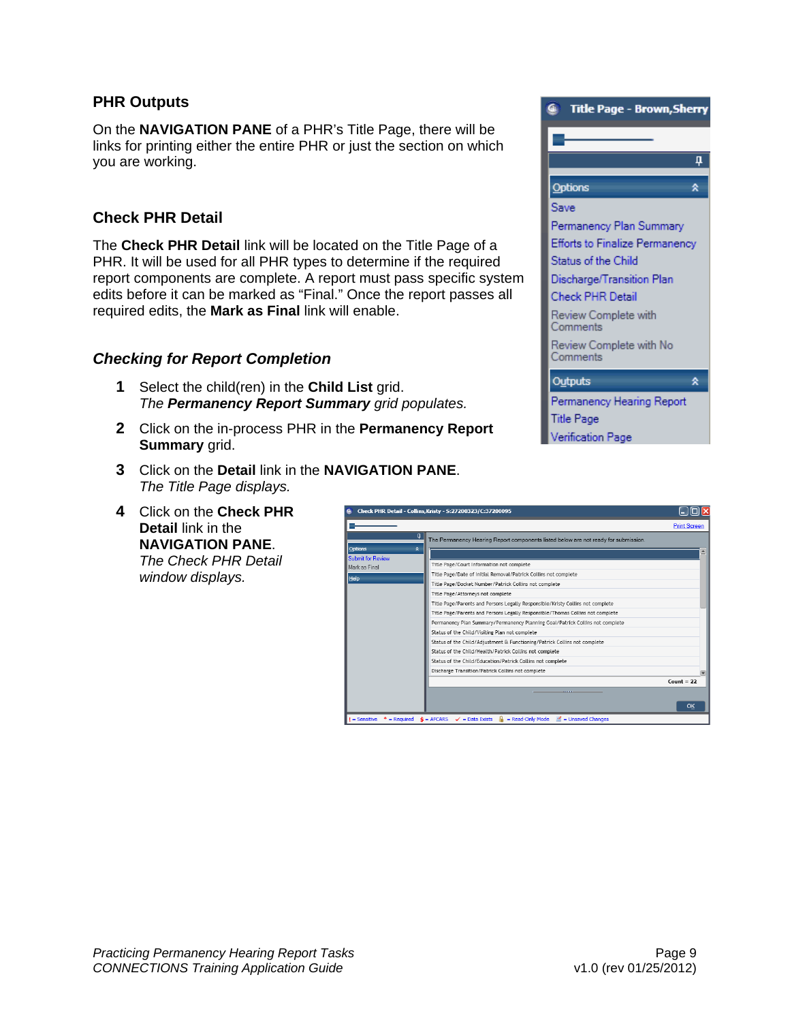#### <span id="page-11-0"></span>**PHR Outputs**

On the **NAVIGATION PANE** of a PHR's Title Page, there will be links for printing either the entire PHR or just the section on which you are working.

## **Check PHR Detail**

The **Check PHR Detail** link will be located on the Title Page of a PHR. It will be used for all PHR types to determine if the required report components are complete. A report must pass specific system edits before it can be marked as "Final." Once the report passes all required edits, the **Mark as Final** link will enable.

#### *Checking for Report Completion*

- **1** Select the child(ren) in the **Child List** grid. *The Permanency Report Summary grid populates.*
- **2** Click on the in-process PHR in the **Permanency Report Summary** grid.
- **3** Click on the **Detail** link in the **NAVIGATION PANE**. *The Title Page displays.*
- **4** Click on the **Check PHR Detail** link in the **NAVIGATION PANE**. *The Check PHR Detail window displays.*



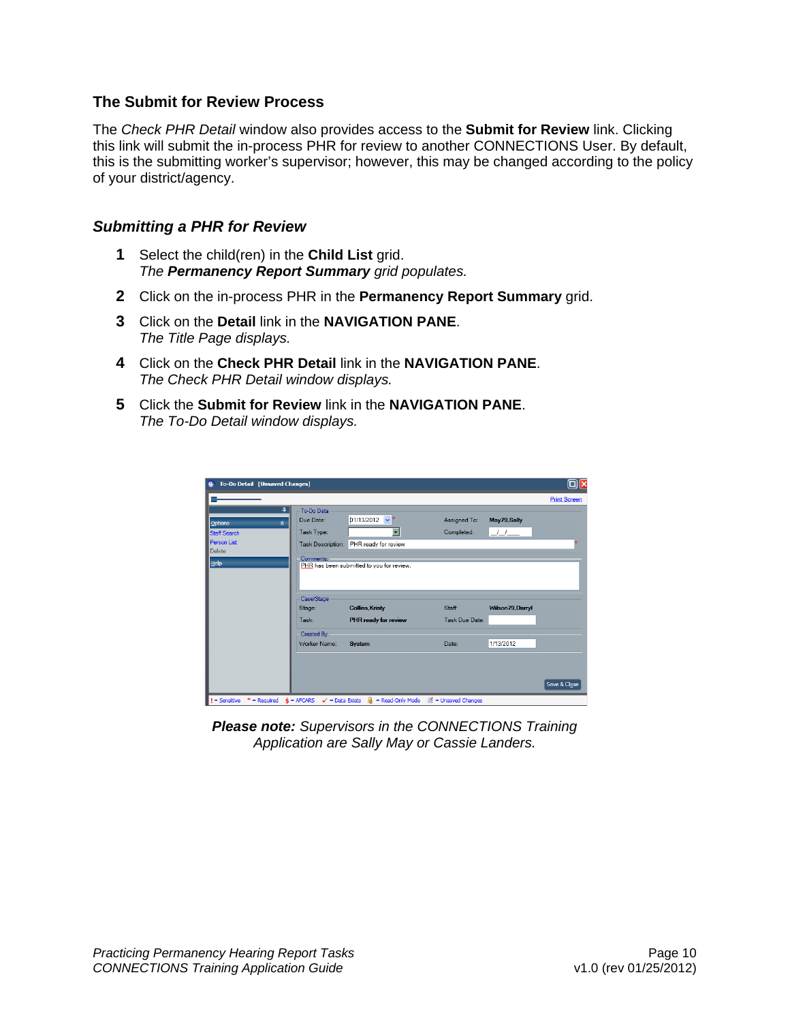#### <span id="page-12-0"></span>**The Submit for Review Process**

The *Check PHR Detail* window also provides access to the **Submit for Review** link. Clicking this link will submit the in-process PHR for review to another CONNECTIONS User. By default, this is the submitting worker's supervisor; however, this may be changed according to the policy of your district/agency.

#### *Submitting a PHR for Review*

- **1** Select the child(ren) in the **Child List** grid. *The Permanency Report Summary grid populates.*
- **2** Click on the in-process PHR in the **Permanency Report Summary** grid.
- **3** Click on the **Detail** link in the **NAVIGATION PANE**. *The Title Page displays.*
- **4** Click on the **Check PHR Detail** link in the **NAVIGATION PANE**. *The Check PHR Detail window displays.*
- **5** Click the **Submit for Review** link in the **NAVIGATION PANE**. *The To-Do Detail window displays.*

| <b>To-Do Detail [Unsaved Changes]</b><br>$\mathbf{G}$ |                                                           |                                           |                        |                  | $\square$           |
|-------------------------------------------------------|-----------------------------------------------------------|-------------------------------------------|------------------------|------------------|---------------------|
|                                                       |                                                           |                                           |                        |                  | <b>Print Screen</b> |
| Д.                                                    | To-Do Data                                                |                                           |                        |                  |                     |
| Options<br>$\hat{z}$                                  | Due Date:                                                 | D1/13/2012<br>$\vee$ *                    | Assigned To:           | May79, Sally     |                     |
| <b>Staff Search</b>                                   | Task Type:                                                | ▼                                         | Completed:             | <u>_/_/_</u>     |                     |
| <b>Person List</b>                                    | Task Description:                                         | PHR ready for review                      |                        |                  |                     |
| Delete                                                | Comments:                                                 |                                           |                        |                  |                     |
| $He$ lp                                               |                                                           | PHR has been submitted to you for review. |                        |                  |                     |
|                                                       | Case/Stage<br>Stage:                                      | <b>Collins Kristy</b>                     | Staff:                 | Wilson79, Darryl |                     |
|                                                       | Task:                                                     | PHR ready for review                      | Task Due Date:         |                  |                     |
|                                                       | Created By                                                |                                           |                        |                  |                     |
|                                                       | Worker Name:                                              | System                                    | Date:                  | 1/13/2012        |                     |
|                                                       |                                                           |                                           |                        |                  |                     |
|                                                       |                                                           |                                           |                        |                  |                     |
|                                                       |                                                           |                                           |                        |                  | Save & Close        |
| $I =$ Sensitive<br>$*$ = Required                     | $\hat{\mathbf{s}}$ = AFCARS<br>$\checkmark$ = Data Exists | = Read-Only Mode                          | = Unsaved Changes<br>國 |                  |                     |

*Please note: Supervisors in the CONNECTIONS Training Application are Sally May or Cassie Landers.*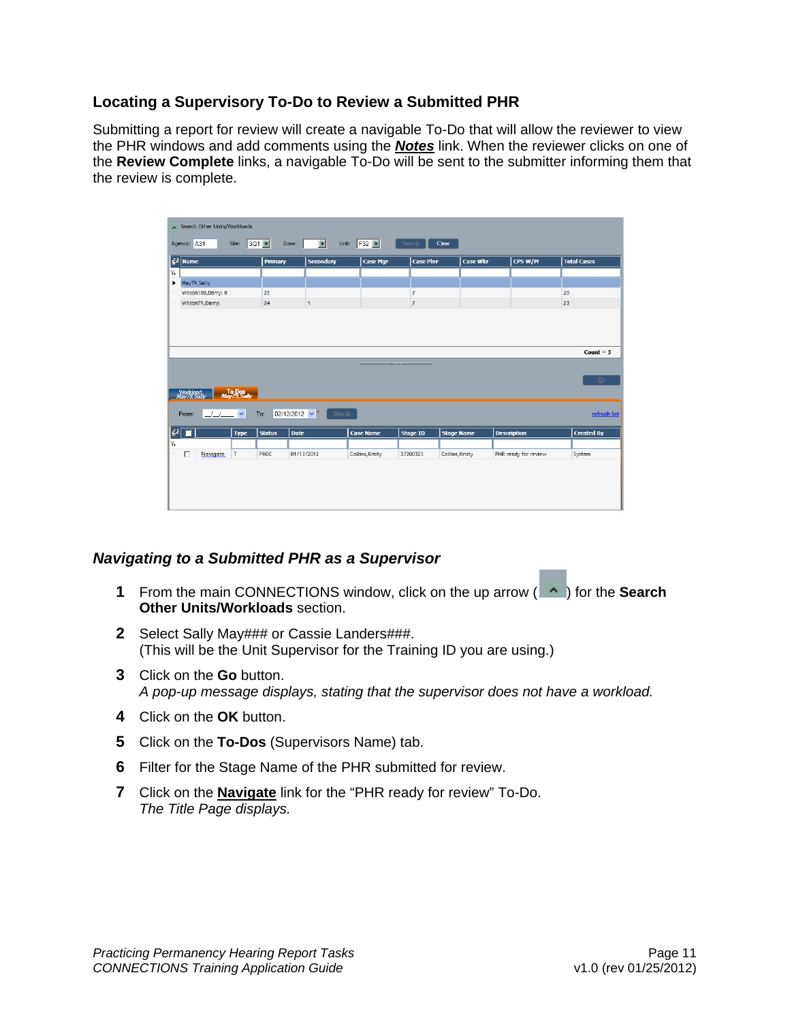## <span id="page-13-0"></span>**Locating a Supervisory To-Do to Review a Submitted PHR**

Submitting a report for review will create a navigable To-Do that will allow the reviewer to view the PHR windows and add comments using the *Notes* link. When the reviewer clicks on one of the **Review Complete** links, a navigable To-Do will be sent to the submitter informing them that the review is complete.



# *Navigating to a Submitted PHR as a Supervisor*

- **1** From the main CONNECTIONS window, click on the up arrow ( $\uparrow$ ) for the **Search Other Units/Workloads** section.
- **2** Select Sally May### or Cassie Landers###. (This will be the Unit Supervisor for the Training ID you are using.)
- **3** Click on the **Go** button. *A pop-up message displays, stating that the supervisor does not have a workload.*
- **4** Click on the **OK** button.
- **5** Click on the **To-Dos** (Supervisors Name) tab.
- **6** Filter for the Stage Name of the PHR submitted for review.
- **7** Click on the **Navigate** link for the "PHR ready for review" To-Do. *The Title Page displays.*